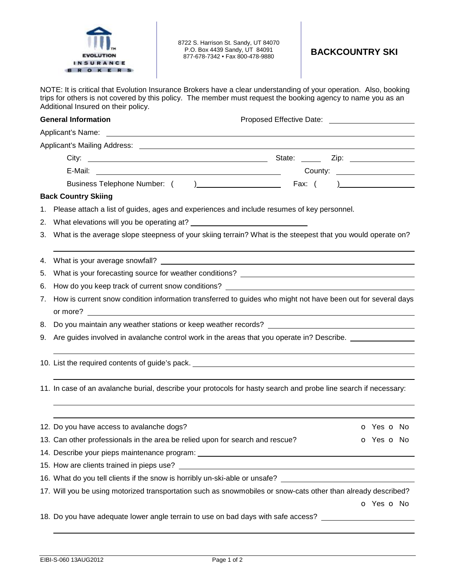

8722 S. Harrison St. Sandy, UT 84070 P.O. Box 4439 Sandy, UT 84091 P.O. Box 4439 Sandy, UT 84091 **BACKCOUNTRY SKI**<br>877-678-7342 • Fax 800-478-9880 **BACKCOUNTRY SKI** 

NOTE: It is critical that Evolution Insurance Brokers have a clear understanding of your operation. Also, booking trips for others is not covered by this policy. The member must request the booking agency to name you as an Additional Insured on their policy.

| <b>General Information</b> |                                                                                                                                                                                                                                  | Proposed Effective Date: National Assembly Proposed Effective Date: |  |  |  |
|----------------------------|----------------------------------------------------------------------------------------------------------------------------------------------------------------------------------------------------------------------------------|---------------------------------------------------------------------|--|--|--|
|                            |                                                                                                                                                                                                                                  |                                                                     |  |  |  |
|                            |                                                                                                                                                                                                                                  |                                                                     |  |  |  |
|                            |                                                                                                                                                                                                                                  |                                                                     |  |  |  |
|                            |                                                                                                                                                                                                                                  | County: ______________________                                      |  |  |  |
|                            |                                                                                                                                                                                                                                  |                                                                     |  |  |  |
|                            | <b>Back Country Skiing</b>                                                                                                                                                                                                       |                                                                     |  |  |  |
| 1.                         | Please attach a list of guides, ages and experiences and include resumes of key personnel.                                                                                                                                       |                                                                     |  |  |  |
|                            |                                                                                                                                                                                                                                  |                                                                     |  |  |  |
|                            | 3. What is the average slope steepness of your skiing terrain? What is the steepest that you would operate on?                                                                                                                   |                                                                     |  |  |  |
| 4.                         |                                                                                                                                                                                                                                  |                                                                     |  |  |  |
| 5.                         |                                                                                                                                                                                                                                  |                                                                     |  |  |  |
| 6.                         | How do you keep track of current snow conditions? ______________________________                                                                                                                                                 |                                                                     |  |  |  |
| 7.                         | How is current snow condition information transferred to guides who might not have been out for several days                                                                                                                     |                                                                     |  |  |  |
| 8.                         | Do you maintain any weather stations or keep weather records?<br>Notice that the contract of the contract of the contract of the contract of the contract of the contract of the contract of the contract of the contract of the |                                                                     |  |  |  |
| 9.                         | Are guides involved in avalanche control work in the areas that you operate in? Describe.                                                                                                                                        |                                                                     |  |  |  |
|                            |                                                                                                                                                                                                                                  |                                                                     |  |  |  |
|                            | 11. In case of an avalanche burial, describe your protocols for hasty search and probe line search if necessary:                                                                                                                 |                                                                     |  |  |  |
|                            | 12. Do you have access to avalanche dogs?                                                                                                                                                                                        | <b>o</b> Yes <b>o</b> No                                            |  |  |  |
|                            | 13. Can other professionals in the area be relied upon for search and rescue?                                                                                                                                                    | o Yes o No                                                          |  |  |  |
|                            | 14. Describe your pieps maintenance program: ___________________________________                                                                                                                                                 |                                                                     |  |  |  |
|                            |                                                                                                                                                                                                                                  |                                                                     |  |  |  |
|                            | 16. What do you tell clients if the snow is horribly un-ski-able or unsafe? _______________________                                                                                                                              |                                                                     |  |  |  |
|                            | 17. Will you be using motorized transportation such as snowmobiles or snow-cats other than already described?                                                                                                                    |                                                                     |  |  |  |
|                            |                                                                                                                                                                                                                                  | o Yes o No                                                          |  |  |  |
|                            | 18. Do you have adequate lower angle terrain to use on bad days with safe access?                                                                                                                                                |                                                                     |  |  |  |